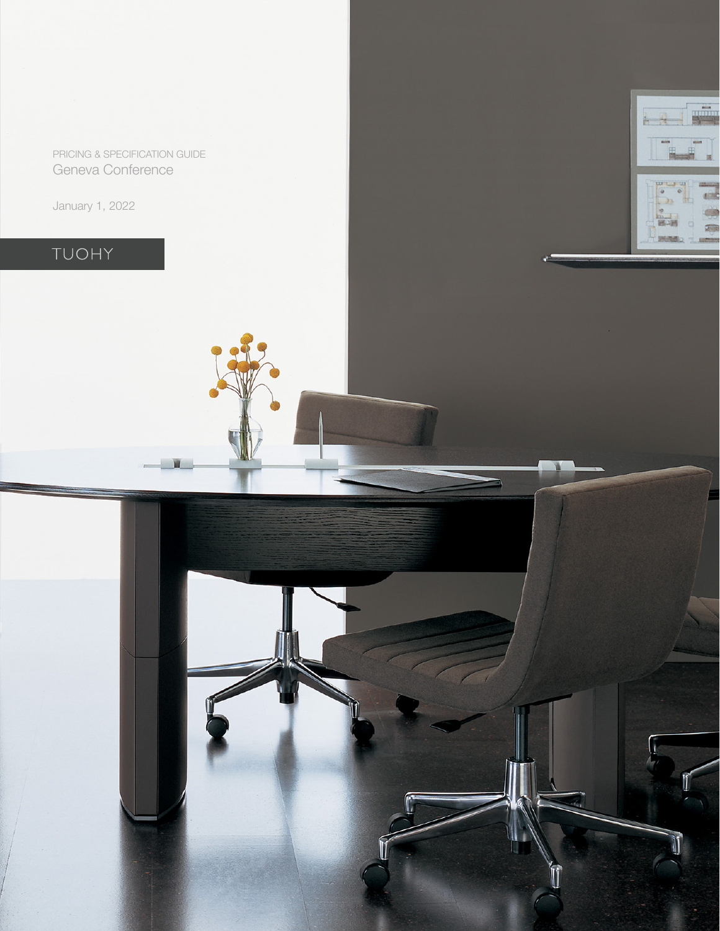PRICING & SPECIFICATION GUIDE Geneva Conference

 $\frac{1}{2}$ 

January 1, 2022

# TUOHY

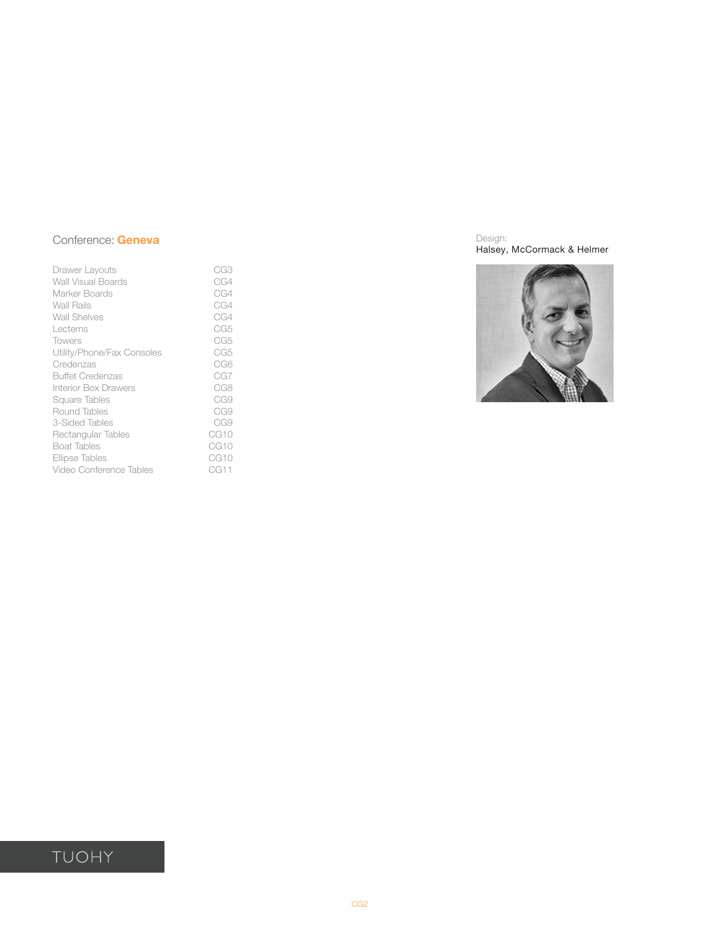| Drawer Layouts              | CG3              |
|-----------------------------|------------------|
| <b>Wall Visual Boards</b>   | CG4              |
| Marker Boards               | CG4              |
| <b>Wall Rails</b>           | CG4              |
| Wall Shelves                | CG4              |
| Lecterns                    | CG5              |
| <b>Towers</b>               | CG5              |
| Utility/Phone/Fax Consoles  | CG5              |
| Credenzas                   | CG6              |
| <b>Buffet Credenzas</b>     | CG7              |
| <b>Interior Box Drawers</b> | CG8              |
| Square Tables               | CG9              |
| Round Tables                | CG9              |
| 3-Sided Tables              | CG9              |
| Rectangular Tables          | CG <sub>10</sub> |
| <b>Boat Tables</b>          | CG <sub>10</sub> |
| Ellipse Tables              | CG10             |
| Video Conference Tables     | CG11             |
|                             |                  |

Design: Halsey, McCormack & Helmer



# TUOHY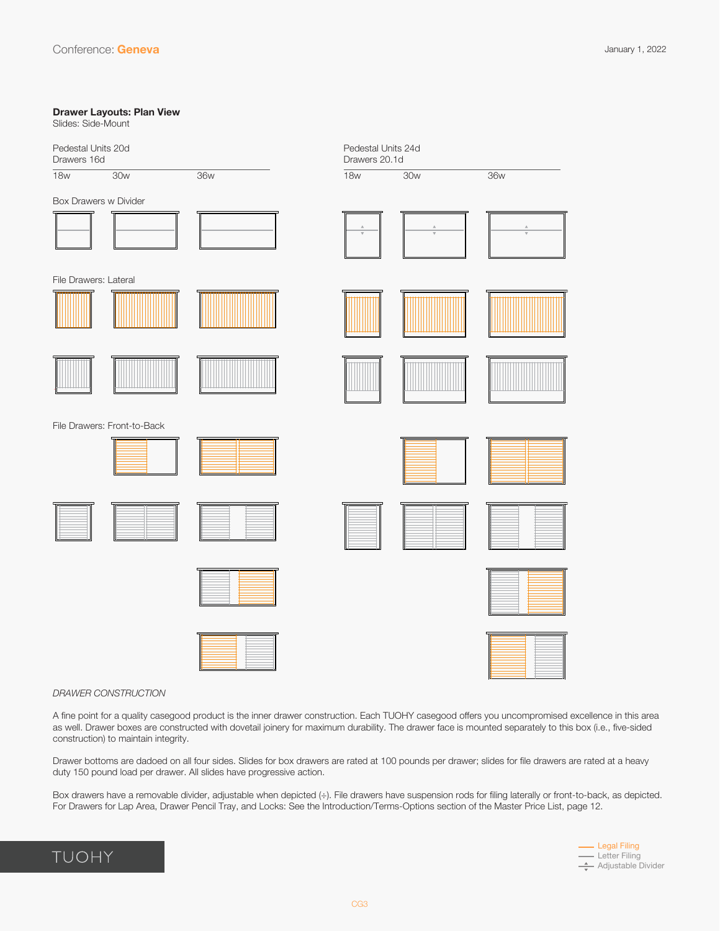# <span id="page-2-0"></span>**Drawer Layouts: Plan View** Slides: Side-Mount 18w 30w 36w 18w 30w 36w Pedestal Units 20d Drawers 16d Pedestal Units 24d Drawers 20.1d Box Drawers w Divider File Drawers: Front-to-Back File Drawers: Lateral





### *DRAWER CONSTRUCTION*

A fine point for a quality casegood product is the inner drawer construction. Each TUOHY casegood offers you uncompromised excellence in this area as well. Drawer boxes are constructed with dovetail joinery for maximum durability. The drawer face is mounted separately to this box (i.e., five-sided construction) to maintain integrity.

Drawer bottoms are dadoed on all four sides. Slides for box drawers are rated at 100 pounds per drawer; slides for file drawers are rated at a heavy duty 150 pound load per drawer. All slides have progressive action.

Box drawers have a removable divider, adjustable when depicted (÷). File drawers have suspension rods for filing laterally or front-to-back, as depicted. For Drawers for Lap Area, Drawer Pencil Tray, and Locks: See the Introduction/Terms-Options section of the Master Price List, page 12.

## TUOHY



CG3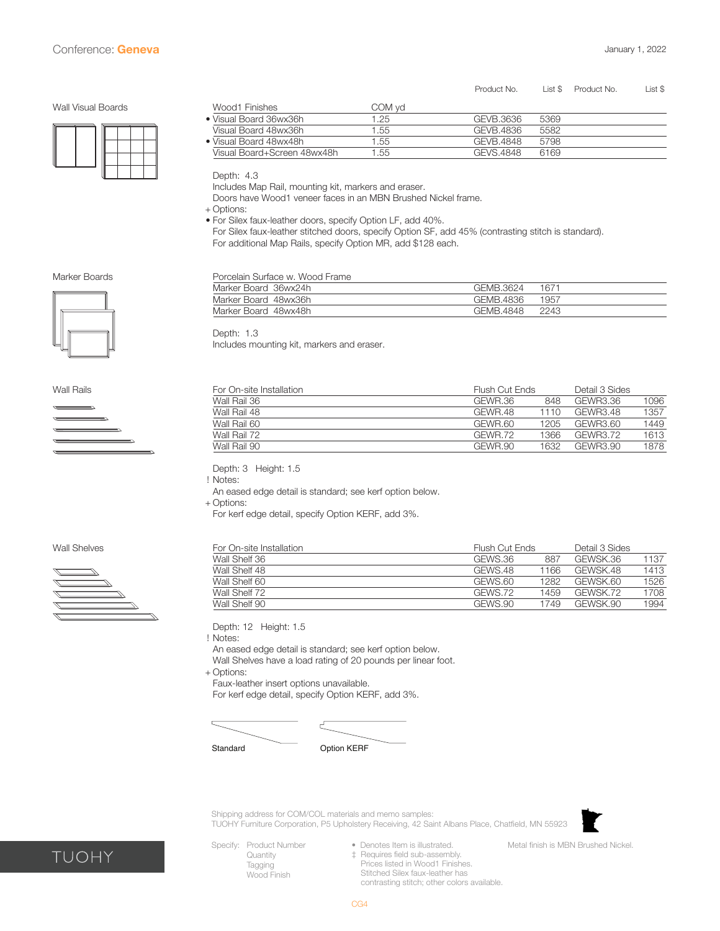#### Product No. List \$ Product No. List \$

<span id="page-3-0"></span>Wall Visual Boards



| Wood1 Finishes              | COM vd |           |      |  |
|-----------------------------|--------|-----------|------|--|
| ● Visual Board 36wx36h      | 1.25   | GEVB.3636 | 5369 |  |
| Visual Board 48wx36h        | 1.55   | GEVB.4836 | 5582 |  |
| ● Visual Board 48wx48h      | 1.55   | GEVB.4848 | 5798 |  |
| Visual Board+Screen 48wx48h | 1.55   | GEVS.4848 | 6169 |  |

Depth: 4.3

Depth: 1.3

Includes Map Rail, mounting kit, markers and eraser.

Doors have Wood1 veneer faces in an MBN Brushed Nickel frame.

+ Options:

- For Silex faux-leather doors, specify Option LF, add 40%.
- For Silex faux-leather stitched doors, specify Option SF, add 45% (contrasting stitch is standard). For additional Map Rails, specify Option MR, add \$128 each.

Marker Board 36wx24h GEMB.3624 1671 Marker Board 48wx36h GEMB.4836 1957 Marker Board 48wx48h GEMB.4848 2243

Marker Boards **Porcelain Surface w. Wood Frame** 





Wall Rails For On-site Installation Flush Cut Ends Detail 3 Sides Wall Rail 36 GEWR.36 848 GEWR3.36 1096 Wall Rail 48 GEWR.48 1110 GEWR3.48 1357 Wall Rail 60 GEWR.60 1205 GEWR3.60 1449 Wall Rail 72 GEWR.72 1366 GEWR3.72 1613 Wall Rail 90 **Contract Contract Contract Contract Contract Contract Contract Contract Contract Contract Contract Contract Contract Contract Contract Contract Contract Contract Contract Contract Contract Contract Contract C** 

Depth: 3 Height: 1.5

! Notes: An eased edge detail is standard; see kerf option below.

Includes mounting kit, markers and eraser.

+ Options:

For kerf edge detail, specify Option KERF, add 3%.



Wall Shelves **For On-site Installation**<br>
Wall Shelf 36 **For On-site Installation**<br>
Wall Shelf 36 **For All Shelf 36** For All Shelf 36 For All CHEWS.36 B87 GEWSK.36 887 GEWSK.36 1137 Wall Shelf 48 GEWS.48 1166 GEWSK.48 1413 Wall Shelf 60 GEWS.60 1282 GEWSK.60 1526 Wall Shelf 72 GEWS.72 1459 GEWSK.72 1708 Wall Shelf 90 GEWS.90 1749 GEWSK.90 1994

Depth: 12 Height: 1.5

! Notes:

An eased edge detail is standard; see kerf option below.

Wall Shelves have a load rating of 20 pounds per linear foot.

+ Options:

Faux-leather insert options unavailable.

For kerf edge detail, specify Option KERF, add 3%.



Standard Option KERF

Shipping address for COM/COL materials and memo samples: TUOHY Furniture Corporation, P5 Upholstery Receiving, 42 Saint Albans Place, Chatfield, MN 55923



• Denotes Item is illustrated.

Metal finish is MBN Brushed Nickel.

- Specify: Product Number **Quantity** Tagging Wood Finish
- ‡ Requires field sub-assembly. Prices listed in Wood1 Finishes. Stitched Silex faux-leather has contrasting stitch; other colors available.



CG4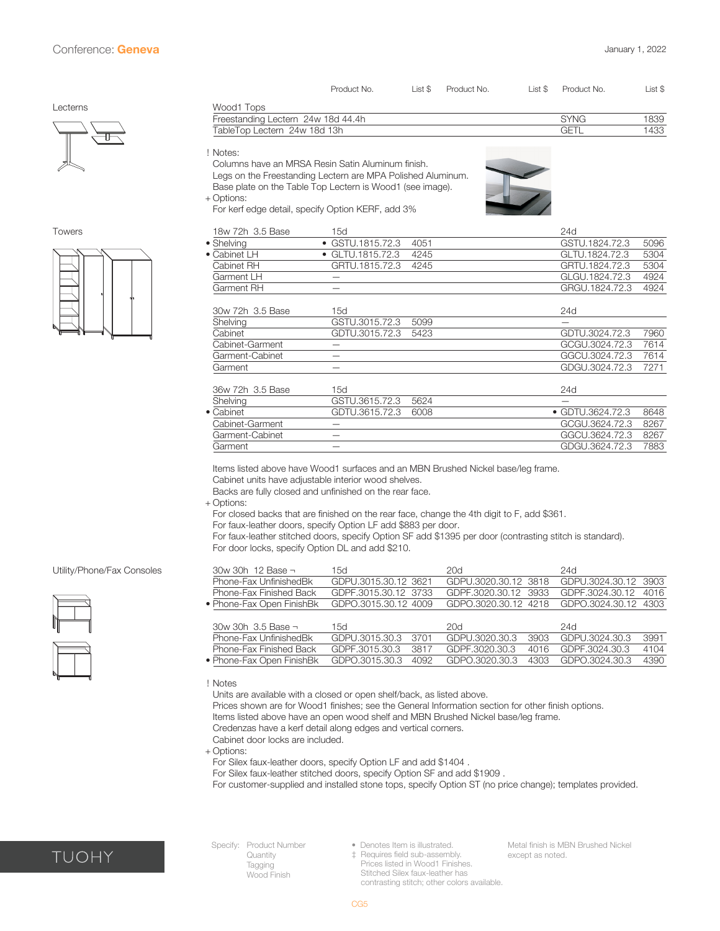<span id="page-4-0"></span>

|               |                                                                                                                                                                                           | Product No.              | List \$ | Product No. | List \$ | Product No.      | List \$ |
|---------------|-------------------------------------------------------------------------------------------------------------------------------------------------------------------------------------------|--------------------------|---------|-------------|---------|------------------|---------|
| Lecterns      | Wood1 Tops                                                                                                                                                                                |                          |         |             |         |                  |         |
|               | Freestanding Lectern 24w 18d 44.4h                                                                                                                                                        |                          |         |             |         | <b>SYNG</b>      | 1839    |
|               | TableTop Lectern 24w 18d 13h                                                                                                                                                              |                          |         |             |         | <b>GETL</b>      | 1433    |
|               | ! Notes:<br>Columns have an MRSA Resin Satin Aluminum finish.<br>Legs on the Freestanding Lectern are MPA Polished Aluminum.<br>Base plate on the Table Top Lectern is Wood1 (see image). |                          |         |             |         |                  |         |
|               | + Options:                                                                                                                                                                                |                          |         |             |         |                  |         |
|               | For kerf edge detail, specify Option KERF, add 3%                                                                                                                                         |                          |         |             |         |                  |         |
| <b>Towers</b> | 18w 72h 3.5 Base                                                                                                                                                                          | 15d                      |         |             |         | 24d              |         |
|               | • Shelving                                                                                                                                                                                | GSTU.1815.72.3           | 4051    |             |         | GSTU.1824.72.3   | 5096    |
|               | • Cabinet LH                                                                                                                                                                              | $\bullet$ GLTU.1815.72.3 | 4245    |             |         | GLTU.1824.72.3   | 5304    |
|               | Cabinet RH                                                                                                                                                                                | GRTU.1815.72.3           | 4245    |             |         | GRTU.1824.72.3   | 5304    |
|               | Garment LH                                                                                                                                                                                | —                        |         |             |         | GLGU.1824.72.3   | 4924    |
|               | Garment RH                                                                                                                                                                                | —                        |         |             |         | GRGU.1824.72.3   | 4924    |
|               |                                                                                                                                                                                           |                          |         |             |         |                  |         |
|               | 30w 72h 3.5 Base                                                                                                                                                                          | 15d                      |         |             |         | 24d              |         |
|               | Shelving                                                                                                                                                                                  | GSTU.3015.72.3           | 5099    |             |         |                  |         |
|               | Cabinet                                                                                                                                                                                   | GDTU.3015.72.3           | 5423    |             |         | GDTU.3024.72.3   | 7960    |
|               | Cabinet-Garment                                                                                                                                                                           | $\qquad \qquad -$        |         |             |         | GCGU.3024.72.3   | 7614    |
|               | Garment-Cabinet                                                                                                                                                                           | $\qquad \qquad -$        |         |             |         | GGCU.3024.72.3   | 7614    |
|               | Garment                                                                                                                                                                                   | $\overline{\phantom{0}}$ |         |             |         | GDGU.3024.72.3   | 7271    |
|               | 36w 72h 3.5 Base                                                                                                                                                                          | 15d                      |         |             |         | 24d              |         |
|               | Shelving                                                                                                                                                                                  | GSTU.3615.72.3           | 5624    |             |         |                  |         |
|               | • Cabinet                                                                                                                                                                                 | GDTU.3615.72.3           | 6008    |             |         | • GDTU.3624.72.3 | 8648    |
|               | Cabinet-Garment                                                                                                                                                                           | $\overline{\phantom{0}}$ |         |             |         | GCGU.3624.72.3   | 8267    |
|               | Garment-Cabinet                                                                                                                                                                           | —                        |         |             |         | GGCU.3624.72.3   | 8267    |
|               | Garment                                                                                                                                                                                   |                          |         |             |         | GDGU.3624.72.3   | 7883    |

Items listed above have Wood1 surfaces and an MBN Brushed Nickel base/leg frame.

Cabinet units have adjustable interior wood shelves. Backs are fully closed and unfinished on the rear face.

+ Options:

For closed backs that are finished on the rear face, change the 4th digit to F, add \$361.

For faux-leather doors, specify Option LF add \$883 per door.

For faux-leather stitched doors, specify Option SF add \$1395 per door (contrasting stitch is standard). For door locks, specify Option DL and add \$210.

| $30w$ 30h 12 Base $\neg$  | 15d.                 | 20d                                       | 24d                  |
|---------------------------|----------------------|-------------------------------------------|----------------------|
| Phone-Fax UnfinishedBk    | GDPU.3015.30.12 3621 | GDPU.3020.30.12 3818                      | GDPU.3024.30.12 3903 |
| Phone-Fax Finished Back   | GDPE.3015.30.12 3733 | GDPE.3020.30.12 3933 GDPE.3024.30.12 4016 |                      |
| • Phone-Fax Open FinishBk | GDPO.3015.30.12 4009 | GDPO.3020.30.12 4218 GDPO.3024.30.12 4303 |                      |

| $30w$ 30h $3.5$ Base $\neg$                   | 15d.                | 20q                                | 24d                                |      |
|-----------------------------------------------|---------------------|------------------------------------|------------------------------------|------|
| Phone-Fax UnfinishedBk                        | GDPU.3015.30.3 3701 | GDPU.3020.30.3                     | 3903 GDPU.3024.30.3                | 3991 |
| Phone-Fax Finished Back                       | GDPE.3015.30.3 3817 | GDPF.3020.30.3 4016 GDPF.3024.30.3 |                                    | 4104 |
| • Phone-Fax Open FinishBk GDPO.3015.30.3 4092 |                     |                                    | GDP0.3020.30.3 4303 GDP0.3024.30.3 | 4390 |

! Notes

Units are available with a closed or open shelf/back, as listed above. Prices shown are for Wood1 finishes; see the General Information section for other finish options.

Items listed above have an open wood shelf and MBN Brushed Nickel base/leg frame.

Credenzas have a kerf detail along edges and vertical corners.

Cabinet door locks are included.

+ Options:

For Silex faux-leather doors, specify Option LF and add \$1404 .

For Silex faux-leather stitched doors, specify Option SF and add \$1909 .

For customer-supplied and installed stone tops, specify Option ST (no price change); templates provided.



Utility/Phone/Fax Consoles

Specify: Product Number Quantity Tagging Wood Finish

• Denotes Item is illustrated.

‡ Requires field sub-assembly. Prices listed in Wood1 Finishes. Stitched Silex faux-leather has contrasting stitch; other colors available.

Metal finish is MBN Brushed Nickel except as noted.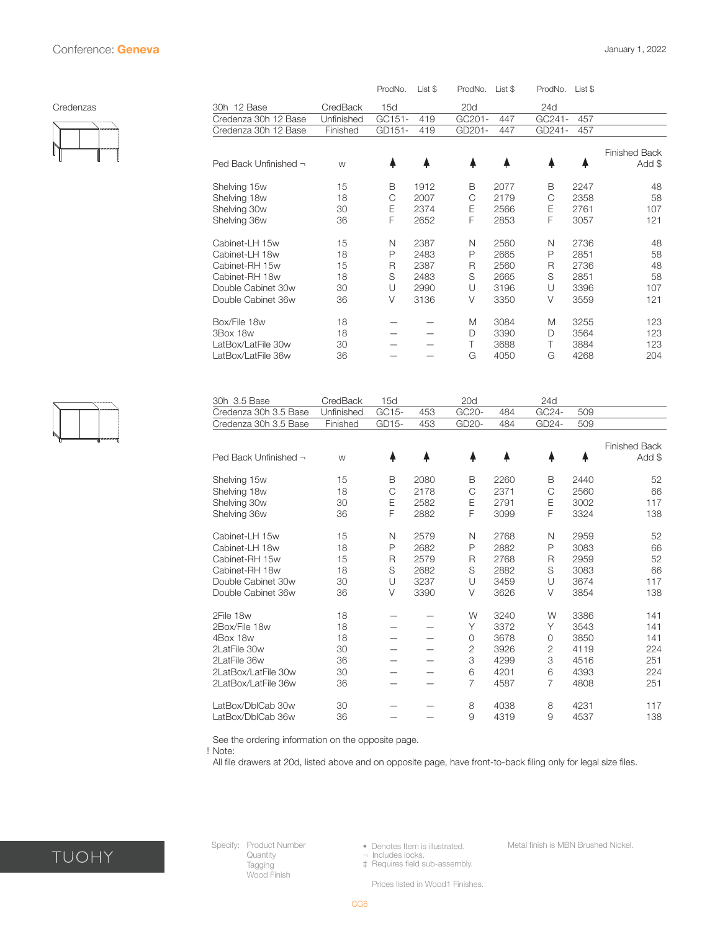<span id="page-5-0"></span>

|           |                            |            | ProdNo. | List \$ | ProdNo. | List \$ | ProdNo.      | List \$ |                                |
|-----------|----------------------------|------------|---------|---------|---------|---------|--------------|---------|--------------------------------|
| Credenzas | 30h 12 Base                | CredBack   | 15d     |         | 20d     |         | 24d          |         |                                |
|           | Credenza 30h 12 Base       | Unfinished | GC151-  | 419     | GC201-  | 447     | GC241-       | 457     |                                |
|           | Credenza 30h 12 Base       | Finished   | GD151-  | 419     | GD201-  | 447     | GD241-       | 457     |                                |
|           | Ped Back Unfinished $\neg$ | W          | 4       |         |         |         | ♠            | ╇       | <b>Finished Back</b><br>Add \$ |
|           | Shelving 15w               | 15         | В       | 1912    | B       | 2077    | В            | 2247    | 48                             |
|           | Shelving 18w               | 18         | С       | 2007    | C       | 2179    | $\mathsf{C}$ | 2358    | 58                             |
|           | Shelving 30w               | 30         | Ε       | 2374    | Ε       | 2566    | Е            | 2761    | 107                            |
|           | Shelving 36w               | 36         | F       | 2652    | F       | 2853    | F            | 3057    | 121                            |
|           | Cabinet-LH 15w             | 15         | N       | 2387    | N       | 2560    | N            | 2736    | 48                             |
|           | Cabinet-LH 18w             | 18         | P       | 2483    | P       | 2665    | P            | 2851    | 58                             |
|           | Cabinet-RH 15w             | 15         | R       | 2387    | R       | 2560    | R            | 2736    | 48                             |
|           | Cabinet-RH 18w             | 18         | S       | 2483    | S       | 2665    | S            | 2851    | 58                             |
|           | Double Cabinet 30w         | 30         | U       | 2990    | U       | 3196    | U            | 3396    | 107                            |
|           | Double Cabinet 36w         | 36         | V       | 3136    | V       | 3350    | V            | 3559    | 121                            |
|           | Box/File 18w               | 18         |         |         | M       | 3084    | M            | 3255    | 123                            |
|           | 3Box 18w                   | 18         |         |         | D       | 3390    | D            | 3564    | 123                            |
|           | LatBox/LatFile 30w         | 30         |         |         | Τ       | 3688    | Τ            | 3884    | 123                            |
|           | LatBox/LatFile 36w         | 36         |         |         | G       | 4050    | G            | 4268    | 204                            |
|           |                            |            |         |         |         |         |              |         |                                |



| 30h 3.5 Base          | CredBack   | 15d          |      | 20d            |      | 24d            |      |                      |
|-----------------------|------------|--------------|------|----------------|------|----------------|------|----------------------|
| Credenza 30h 3.5 Base | Unfinished | GC15-        | 453  | GC20-          | 484  | GC24-          | 509  |                      |
| Credenza 30h 3.5 Base | Finished   | GD15-        | 453  | GD20-          | 484  | GD24-          | 509  |                      |
|                       |            |              |      |                |      |                |      | <b>Finished Back</b> |
| Ped Back Unfinished - | W          | 4            |      |                |      |                |      | Add \$               |
| Shelving 15w          | 15         | В            | 2080 | B              | 2260 | В              | 2440 | 52                   |
| Shelving 18w          | 18         | C            | 2178 | C              | 2371 | C              | 2560 | 66                   |
| Shelving 30w          | 30         | Ε            | 2582 | Ε              | 2791 | Ε              | 3002 | 117                  |
| Shelving 36w          | 36         | F            | 2882 | F              | 3099 | F              | 3324 | 138                  |
| Cabinet-LH 15w        | 15         | N            | 2579 | N              | 2768 | N              | 2959 | 52                   |
| Cabinet-LH 18w        | 18         | P            | 2682 | P              | 2882 | P              | 3083 | 66                   |
| Cabinet-RH 15w        | 15         | $\mathsf{R}$ | 2579 | R              | 2768 | R              | 2959 | 52                   |
| Cabinet-RH 18w        | 18         | S            | 2682 | S              | 2882 | S              | 3083 | 66                   |
| Double Cabinet 30w    | 30         | U            | 3237 | U              | 3459 | U              | 3674 | 117                  |
| Double Cabinet 36w    | 36         | $\vee$       | 3390 | $\vee$         | 3626 | $\vee$         | 3854 | 138                  |
| 2File 18w             | 18         |              |      | W              | 3240 | W              | 3386 | 141                  |
| 2Box/File 18w         | 18         |              |      | Υ              | 3372 | Υ              | 3543 | 141                  |
| 4Box 18w              | 18         |              |      | $\circ$        | 3678 | $\overline{0}$ | 3850 | 141                  |
| 2LatFile 30w          | 30         |              |      | $\overline{2}$ | 3926 | $\overline{2}$ | 4119 | 224                  |
| 2LatFile 36w          | 36         |              |      | 3              | 4299 | 3              | 4516 | 251                  |
| 2LatBox/LatFile 30w   | 30         |              |      | 6              | 4201 | 6              | 4393 | 224                  |
| 2LatBox/LatFile 36w   | 36         |              |      | $\overline{7}$ | 4587 | 7              | 4808 | 251                  |
| LatBox/DblCab 30w     | 30         |              |      | 8              | 4038 | 8              | 4231 | 117                  |
| LatBox/DblCab 36w     | 36         |              |      | 9              | 4319 | 9              | 4537 | 138                  |

See the ordering information on the opposite page.

! Note:

All file drawers at 20d, listed above and on opposite page, have front-to-back filing only for legal size files.



Specify: Product Number **Quantity** Tagging Wood Finish

• Denotes Item is illustrated.

¬ Includes locks. ‡ Requires field sub-assembly.

Metal finish is MBN Brushed Nickel.

Prices listed in Wood1 Finishes.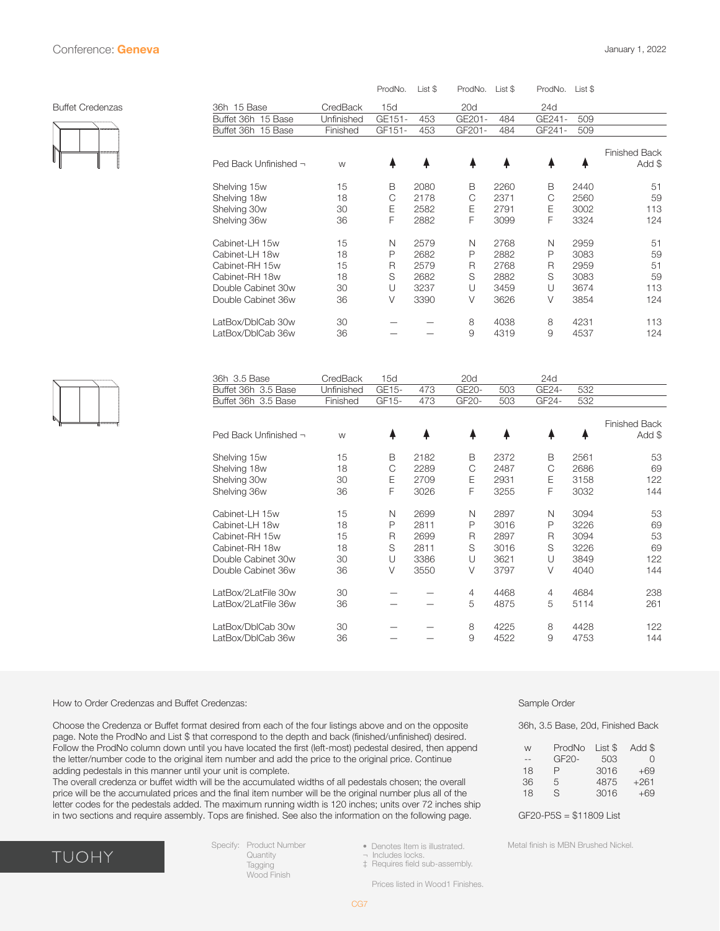<span id="page-6-0"></span>

|                       |            | ProdNo. | List \$ | ProdNo. | List \$ | ProdNo. | List \$ |                                |
|-----------------------|------------|---------|---------|---------|---------|---------|---------|--------------------------------|
| 36h 15 Base           | CredBack   | 15d     |         | 20d     |         | 24d     |         |                                |
| Buffet 36h 15 Base    | Unfinished | GE151-  | 453     | GE201-  | 484     | GE241-  | 509     |                                |
| Buffet 36h 15 Base    | Finished   | GF151-  | 453     | GF201-  | 484     | GF241-  | 509     |                                |
|                       |            |         |         |         |         |         |         |                                |
| Ped Back Unfinished - | W          |         |         |         |         |         |         | <b>Finished Back</b><br>Add \$ |
| Shelving 15w          | 15         | B       | 2080    | B       | 2260    | B       | 2440    | 51                             |
| Shelving 18w          | 18         | С       | 2178    | C       | 2371    | C       | 2560    | 59                             |
| Shelving 30w          | 30         | Ε       | 2582    | E       | 2791    | E       | 3002    | 113                            |
| Shelving 36w          | 36         | F       | 2882    | F       | 3099    | F       | 3324    | 124                            |
|                       |            |         |         |         |         |         |         |                                |
| Cabinet-LH 15w        | 15         | N       | 2579    | N       | 2768    | N       | 2959    | 51                             |
| Cabinet-LH 18w        | 18         | P       | 2682    | P       | 2882    | P       | 3083    | 59                             |
| Cabinet-RH 15w        | 15         | R       | 2579    | R       | 2768    | R       | 2959    | 51                             |
| Cabinet-RH 18w        | 18         | S       | 2682    | S       | 2882    | S       | 3083    | 59                             |
| Double Cabinet 30w    | 30         | U       | 3237    | U       | 3459    | U       | 3674    | 113                            |
| Double Cabinet 36w    | 36         | V       | 3390    | $\vee$  | 3626    | $\vee$  | 3854    | 124                            |
|                       |            |         |         |         |         |         |         |                                |
| LatBox/DblCab 30w     | 30         |         |         | 8       | 4038    | 8       | 4231    | 113                            |
| LatBox/DblCab 36w     | 36         |         |         | 9       | 4319    | 9       | 4537    | 124                            |
|                       |            |         |         |         |         |         |         |                                |
|                       |            |         |         |         |         |         |         |                                |

| v |  |  |
|---|--|--|

| 36h 3.5 Base                                                                                                     | CredBack                         | 15d                             |                                              | 20d                        |                                              | 24d                             |                                              |                                    |
|------------------------------------------------------------------------------------------------------------------|----------------------------------|---------------------------------|----------------------------------------------|----------------------------|----------------------------------------------|---------------------------------|----------------------------------------------|------------------------------------|
| Buffet 36h 3.5 Base                                                                                              | Unfinished                       | GE15-                           | 473                                          | GE20-                      | 503                                          | GE24-                           | 532                                          |                                    |
| Buffet 36h 3.5 Base                                                                                              | Finished                         | GF15-                           | 473                                          | GF20-                      | 503                                          | GF24-                           | 532                                          |                                    |
| Ped Back Unfinished -                                                                                            | W                                |                                 |                                              |                            |                                              |                                 |                                              | <b>Finished Back</b><br>Add \$     |
| Shelving 15w                                                                                                     | 15                               | В                               | 2182                                         | В                          | 2372                                         | В                               | 2561                                         | 53                                 |
| Shelving 18w                                                                                                     | 18                               | C                               | 2289                                         | С                          | 2487                                         | С                               | 2686                                         | 69                                 |
| Shelving 30w                                                                                                     | 30                               | Ε                               | 2709                                         | Ε                          | 2931                                         | E                               | 3158                                         | 122                                |
| Shelving 36w                                                                                                     | 36                               | F                               | 3026                                         | F                          | 3255                                         | F                               | 3032                                         | 144                                |
| Cabinet-LH 15w<br>Cabinet-LH 18w<br>Cabinet-RH 15w<br>Cabinet-RH 18w<br>Double Cabinet 30w<br>Double Cabinet 36w | 15<br>18<br>15<br>18<br>30<br>36 | N<br>P<br>R<br>S<br>U<br>$\vee$ | 2699<br>2811<br>2699<br>2811<br>3386<br>3550 | N<br>P<br>R<br>S<br>U<br>V | 2897<br>3016<br>2897<br>3016<br>3621<br>3797 | N<br>P<br>R<br>S<br>U<br>$\vee$ | 3094<br>3226<br>3094<br>3226<br>3849<br>4040 | 53<br>69<br>53<br>69<br>122<br>144 |
| LatBox/2LatFile 30w                                                                                              | 30                               |                                 |                                              | 4                          | 4468                                         | 4                               | 4684                                         | 238                                |
| LatBox/2LatFile 36w                                                                                              | 36                               |                                 |                                              | 5                          | 4875                                         | 5                               | 5114                                         | 261                                |
| LatBox/DblCab 30w                                                                                                | 30                               |                                 |                                              | 8                          | 4225                                         | 8                               | 4428                                         | 122                                |
| LatBox/DblCab 36w                                                                                                | 36                               |                                 |                                              | 9                          | 4522                                         | 9                               | 4753                                         | 144                                |

#### How to Order Credenzas and Buffet Credenzas:

Choose the Credenza or Buffet format desired from each of the four listings above and on the opposite page. Note the ProdNo and List \$ that correspond to the depth and back (finished/unfinished) desired. Follow the ProdNo column down until you have located the first (left-most) pedestal desired, then append the letter/number code to the original item number and add the price to the original price. Continue adding pedestals in this manner until your unit is complete.

The overall credenza or buffet width will be the accumulated widths of all pedestals chosen; the overall price will be the accumulated prices and the final item number will be the original number plus all of the letter codes for the pedestals added. The maximum running width is 120 inches; units over 72 inches ship in two sections and require assembly. Tops are finished. See also the information on the following page.



Specify: Product Number **Quantity** Tagging Wood Finish

Sample Order

36h, 3.5 Base, 20d, Finished Back

| ProdNo | List \$ | Add \$           |
|--------|---------|------------------|
| GF20-  | 503     | $\left( \right)$ |
| P      | 3016    | +69              |
| 5      | 4875    | $+261$           |
| S      | 3016    | $+69$            |
|        |         |                  |

GF20-P5S = \$11809 List

Metal finish is MBN Brushed Nickel.

‡ Requires field sub-assembly.

• Denotes Item is illustrated. ¬ Includes locks.

Prices listed in Wood1 Finishes.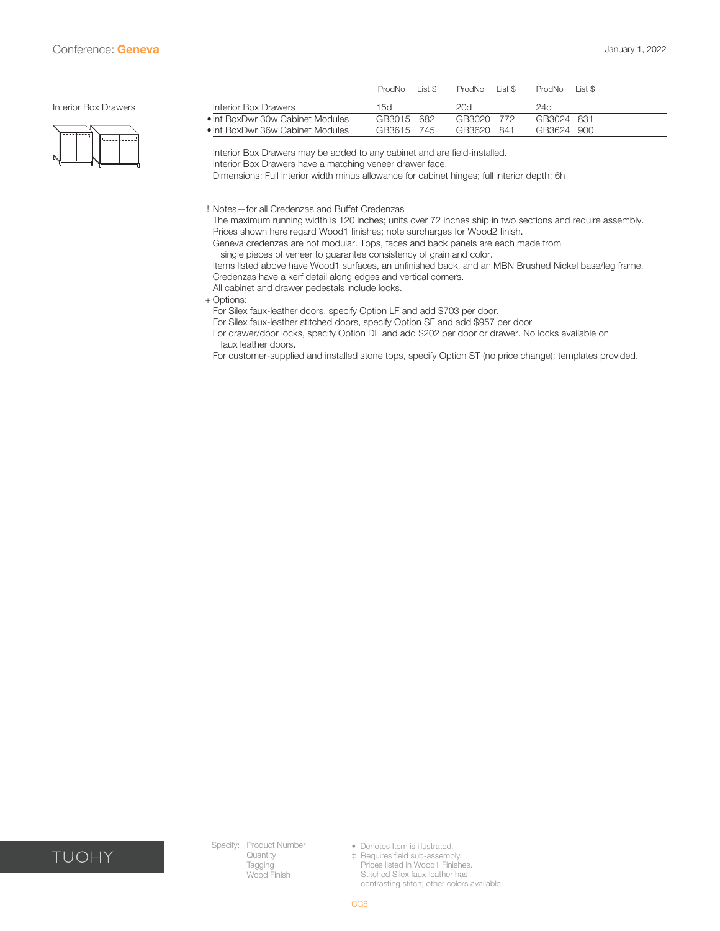#### <span id="page-7-0"></span>Interior Box Drawers



|                                  | ProdNo | list  | ProdNo     | $list$ \$ | <b>ProdNo</b> | List S |
|----------------------------------|--------|-------|------------|-----------|---------------|--------|
| Interior Box Drawers             | 15d    |       | 20d        |           | 24d           |        |
| • Int BoxDwr 30w Cabinet Modules | GB3015 | 682   | GB3020 772 |           | GB3024 831    |        |
| • Int BoxDwr 36w Cabinet Modules | GB3615 | - 745 | GB3620     | - 841     | GB3624 900    |        |
|                                  |        |       |            |           |               |        |

Interior Box Drawers may be added to any cabinet and are field-installed.

Interior Box Drawers have a matching veneer drawer face.

Dimensions: Full interior width minus allowance for cabinet hinges; full interior depth; 6h

! Notes—for all Credenzas and Buffet Credenzas

The maximum running width is 120 inches; units over 72 inches ship in two sections and require assembly. Prices shown here regard Wood1 finishes; note surcharges for Wood2 finish.

Geneva credenzas are not modular. Tops, faces and back panels are each made from

single pieces of veneer to guarantee consistency of grain and color.

Items listed above have Wood1 surfaces, an unfinished back, and an MBN Brushed Nickel base/leg frame. Credenzas have a kerf detail along edges and vertical corners.

All cabinet and drawer pedestals include locks.

+ Options:

For Silex faux-leather doors, specify Option LF and add \$703 per door.

For Silex faux-leather stitched doors, specify Option SF and add \$957 per door

For drawer/door locks, specify Option DL and add \$202 per door or drawer. No locks available on faux leather doors.

For customer-supplied and installed stone tops, specify Option ST (no price change); templates provided.



Specify: Product Number Quantity Tagging Wood Finish

• Denotes Item is illustrated. ‡ Requires field sub-assembly. Prices listed in Wood1 Finishes. Stitched Silex faux-leather has contrasting stitch; other colors available.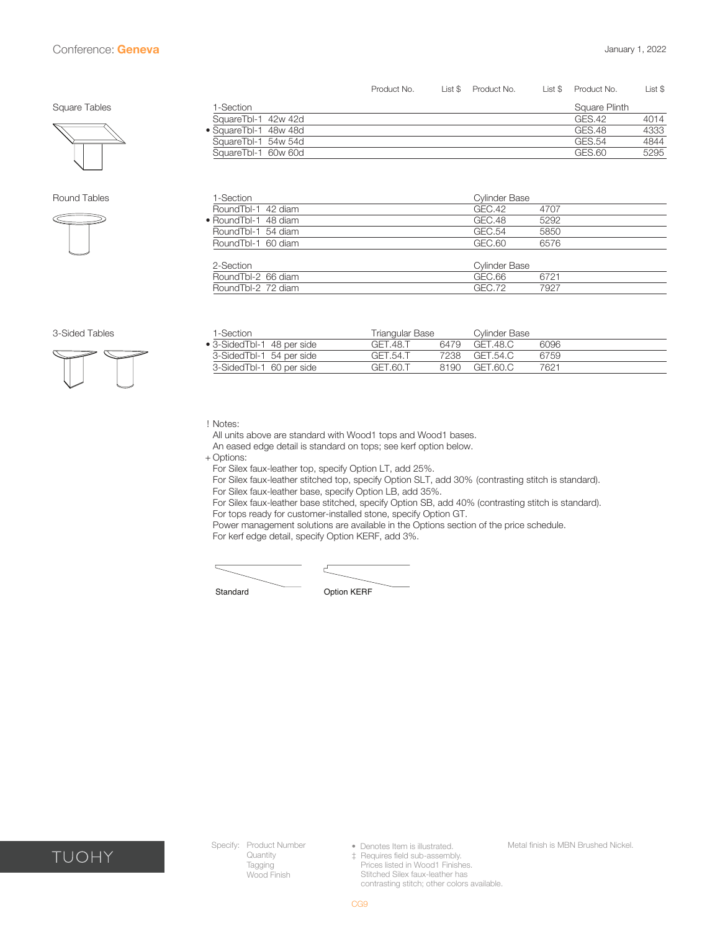<span id="page-8-0"></span>

#### Round Tables



| 1-Section            | <b>Cylinder Base</b> |
|----------------------|----------------------|
| RoundTbl-1 42 diam   | GEC.42<br>4707       |
| • RoundTbl-1 48 diam | GEC.48<br>5292       |
| RoundTbl-1 54 diam   | GEC.54<br>5850       |
| RoundTbl-1 60 diam   | GEC.60<br>6576       |
|                      |                      |
| 2-Section            | <b>Cylinder Base</b> |
| RoundTbl-2 66 diam   | GEC.66<br>6721       |
| RoundTbl-2 72 diam   | GEC.72<br>7927       |

SquareTbl-1 42w 42d GES.42 4014<br>
SquareTbl-1 48w 48d GES.48 4333 • SquareTbl-1 48w 48d GES.48 4333 SquareTbl-1 54w 54d GES.54 4844 SquareTbl-1 60w 60d GES.60 5295

Product No. List \$ Product No. List \$ Product No. List \$



| 1-Section                  | Triangular Base |      | Cylinder Base |      |  |
|----------------------------|-----------------|------|---------------|------|--|
| • 3-SidedTbl-1 48 per side | GFT 48.T        | 6479 | GFT.48.C      | 6096 |  |
| 3-SidedTbl-1 54 per side   | GET.54.T        | 7238 | GFT 54.C      | 6759 |  |
| 3-SidedTbl-1 60 per side   | GET.60.T        | 8190 | GFT.60.C      | 7621 |  |

! Notes:

All units above are standard with Wood1 tops and Wood1 bases.

An eased edge detail is standard on tops; see kerf option below.

+ Options:

For Silex faux-leather top, specify Option LT, add 25%.

For Silex faux-leather stitched top, specify Option SLT, add 30% (contrasting stitch is standard). For Silex faux-leather base, specify Option LB, add 35%.

For Silex faux-leather base stitched, specify Option SB, add 40% (contrasting stitch is standard). For tops ready for customer-installed stone, specify Option GT.

Power management solutions are available in the Options section of the price schedule.

For kerf edge detail, specify Option KERF, add 3%.



Standard **Option KERF** 



Specify: Product Number **Quantity** Tagging Wood Finish

• Denotes Item is illustrated. ‡ Requires field sub-assembly. Prices listed in Wood1 Finishes. Stitched Silex faux-leather has

contrasting stitch; other colors available.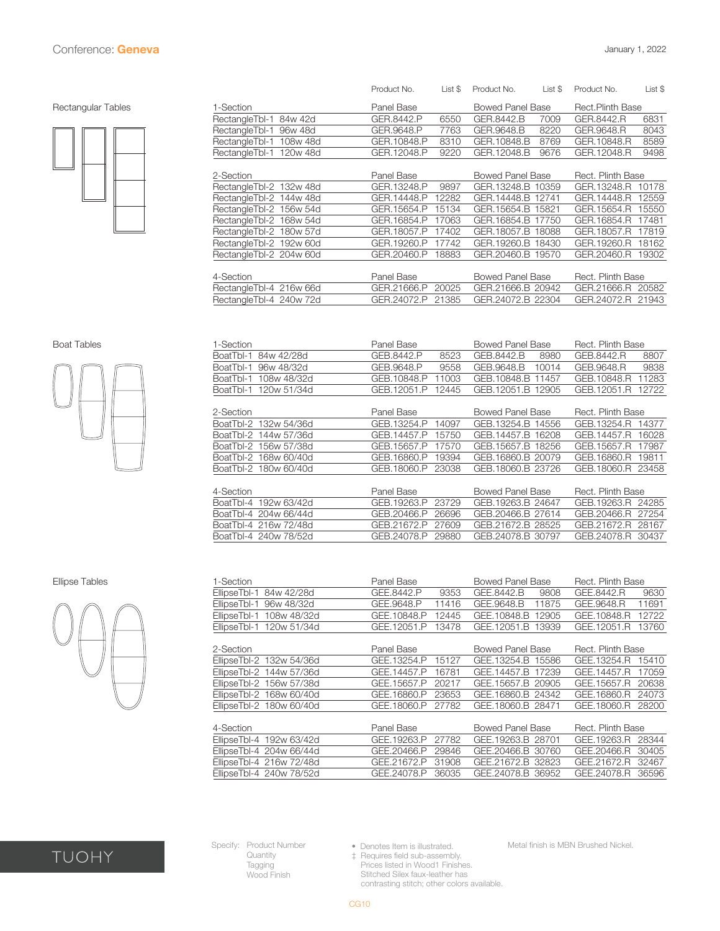#### <span id="page-9-0"></span>Rectangular Tables



|                            | Product No. | List \$ | Product No.       | List \$ | Product No.       | List \$ |
|----------------------------|-------------|---------|-------------------|---------|-------------------|---------|
| 1-Section                  | Panel Base  |         | Bowed Panel Base  |         | Rect.Plinth Base  |         |
| RectangleTbl-1<br>84w 42d  | GER.8442.P  | 6550    | GER.8442.B        | 7009    | GER.8442.R        | 6831    |
| RectangleTbl-1<br>96w 48d  | GER.9648.P  | 7763    | GER.9648.B        | 8220    | GER.9648.R        | 8043    |
| RectangleTbl-1<br>108w 48d | GER.10848.P | 8310    | GER.10848.B       | 8769    | GER.10848.R       | 8589    |
| RectangleTbl-1<br>120w 48d | GER.12048.P | 9220    | GER.12048.B       | 9676    | GER.12048.R       | 9498    |
|                            |             |         |                   |         |                   |         |
| 2-Section                  | Panel Base  |         | Bowed Panel Base  |         | Rect. Plinth Base |         |
| RectangleTbl-2 132w 48d    | GER.13248.P | 9897    | GER.13248.B 10359 |         | GER.13248.R       | 10178   |
| RectangleTbl-2 144w 48d    | GER.14448.P | 12282   | GER.14448.B 12741 |         | GER.14448.R       | 12559   |
| RectangleTbl-2 156w 54d    | GER.15654.P | 15134   | GER.15654.B       | 15821   | GER.15654.R       | 15550   |
| RectangleTbl-2 168w 54d    | GER.16854.P | 17063   | GER.16854.B       | 17750   | GER.16854.R       | 17481   |
| RectangleTbl-2 180w 57d    | GER.18057.P | 17402   | GER.18057.B       | 18088   | GER.18057.R       | 17819   |
| RectangleTbl-2 192w 60d    | GER.19260.P | 17742   | GER.19260.B       | 18430   | GER.19260.R       | 18162   |
| RectangleTbl-2 204w 60d    | GER.20460.P | 18883   | GER.20460.B 19570 |         | GER.20460.R       | 19302   |
|                            |             |         |                   |         |                   |         |
| 4-Section                  | Panel Base  |         | Bowed Panel Base  |         | Rect. Plinth Base |         |
| RectangleTbl-4 216w 66d    | GER.21666.P | 20025   | GER.21666.B 20942 |         | GER.21666.R       | 20582   |
| RectangleTbl-4 240w 72d    | GER.24072.P | 21385   | GER.24072.B 22304 |         | GER.24072.R       | 21943   |
|                            |             |         |                   |         |                   |         |



| <b>Boat Tables</b> | -Section                 | Panel Base           | <b>Bowed Panel Base</b> | Rect. Plinth Base    |
|--------------------|--------------------------|----------------------|-------------------------|----------------------|
|                    | 84w 42/28d<br>BoatTbl-1  | GEB.8442.P<br>8523   | GEB.8442.B<br>8980      | GEB.8442.R<br>8807   |
|                    | 96w 48/32d<br>BoatTbl-1  | GEB.9648.P<br>9558   | GEB.9648.B<br>10014     | GEB.9648.R<br>9838   |
|                    | 108w 48/32d<br>BoatTbl-1 | GEB.10848.P<br>11003 | GEB.10848.B<br>11457    | 11283<br>GEB.10848.R |
|                    | 120w 51/34d<br>BoatTbl-1 | GEB.12051.P<br>12445 | GEB.12051.B 12905       | GEB.12051.R<br>12722 |
|                    | 2-Section                | Panel Base           | Bowed Panel Base        | Rect. Plinth Base    |
|                    | Boat Tbl-2 132w 54/36d   | GEB.13254.P<br>14097 | GEB.13254.B 14556       | GEB.13254.R<br>14377 |
|                    | Boat Tbl-2 144w 57/36d   | GEB.14457.P<br>15750 | GEB.14457.B 16208       | 16028<br>GEB.14457.R |
|                    | BoatTbl-2 156w 57/38d    | GEB.15657.P<br>17570 | GEB.15657.B<br>18256    | GEB.15657.R<br>17987 |
|                    | Boat Tbl-2 168w 60/40d   | GEB.16860.P<br>19394 | GEB.16860.B 20079       | 19811<br>GEB.16860.R |
|                    | BoatTbl-2 180w 60/40d    | GEB.18060.P<br>23038 | GEB.18060.B 23726       | GEB.18060.R 23458    |
|                    |                          |                      |                         |                      |
|                    | 4-Section                | Panel Base           | Bowed Panel Base        | Rect. Plinth Base    |
|                    | BoatTbl-4 192w 63/42d    | GEB.19263.P<br>23729 | GEB.19263.B 24647       | GEB.19263.R 24285    |
|                    | BoatTbl-4 204w 66/44d    | GEB.20466.P<br>26696 | GEB.20466.B 27614       | GEB.20466.R<br>27254 |
|                    | BoatTbl-4 216w 72/48d    | GEB.21672.P<br>27609 | GEB.21672.B 28525       | GEB.21672.R<br>28167 |
|                    | BoatTbl-4 240w 78/52d    | GEB.24078.P<br>29880 | GEB.24078.B 30797       | GEB.24078.R 30437    |
|                    |                          |                      |                         |                      |



| <b>Ellipse Tables</b> | -Section                 | Panel Base           | <b>Bowed Panel Base</b> |                      |
|-----------------------|--------------------------|----------------------|-------------------------|----------------------|
|                       | EllipseTbl-1 84w 42/28d  | GEE.8442.P<br>9353   | GEE.8442.B<br>9808      | GEE.8442.R<br>9630   |
|                       | EllipseTbl-1 96w 48/32d  | GEE.9648.P<br>11416  | GEE.9648.B<br>11875     | GEE.9648.R<br>11691  |
|                       | EllipseTbl-1 108w 48/32d | GEE.10848.P<br>12445 | GEE.10848.B<br>12905    | GEE.10848.R<br>12722 |
|                       | EllipseTbl-1 120w 51/34d | GEE.12051.P<br>13478 | GEE.12051.B 13939       | GEE.12051.R 13760    |
|                       | 2-Section                | Panel Base           | <b>Bowed Panel Base</b> | Rect. Plinth Base    |
|                       | EllipseTbl-2 132w 54/36d | GEE.13254.P<br>15127 | GEE.13254.B 15586       | GEE.13254.R 15410    |
|                       | EllipseTbl-2 144w 57/36d | GEE.14457.P<br>16781 | GEE.14457.B 17239       | GEE.14457.R<br>17059 |
|                       | EllipseTbl-2 156w 57/38d | GEE.15657.P<br>20217 | GEE.15657.B 20905       | GEE.15657.R<br>20638 |
|                       | EllipseTbl-2 168w 60/40d | GEE.16860.P<br>23653 | GEE.16860.B 24342       | GEE.16860.R 24073    |
|                       | EllipseTbl-2 180w 60/40d | GEE.18060.P<br>27782 | GEE.18060.B 28471       | GEE.18060.R 28200    |
|                       |                          |                      |                         |                      |
|                       | 4-Section                | Panel Base           | Bowed Panel Base        | Rect. Plinth Base    |
|                       | EllipseTbl-4 192w 63/42d | GEE.19263.P<br>27782 | GEE.19263.B 28701       | GEE.19263.R 28344    |
|                       | EllipseTbl-4 204w 66/44d | GEE.20466.P<br>29846 | GEE.20466.B 30760       | GEE.20466.R<br>30405 |
|                       | EllipseTbl-4 216w 72/48d | GEE.21672.P<br>31908 | GEE.21672.B 32823       | GEE.21672.R<br>32467 |
|                       | EllipseTbl-4 240w 78/52d | GEE.24078.P<br>36035 | GEE.24078.B 36952       | GEE.24078.R 36596    |



Specify: Product Number **Quantity Tagging** Wood Finish

• Denotes Item is illustrated.

Metal finish is MBN Brushed Nickel.

‡ Requires field sub-assembly. Prices listed in Wood1 Finishes. Stitched Silex faux-leather has contrasting stitch; other colors available.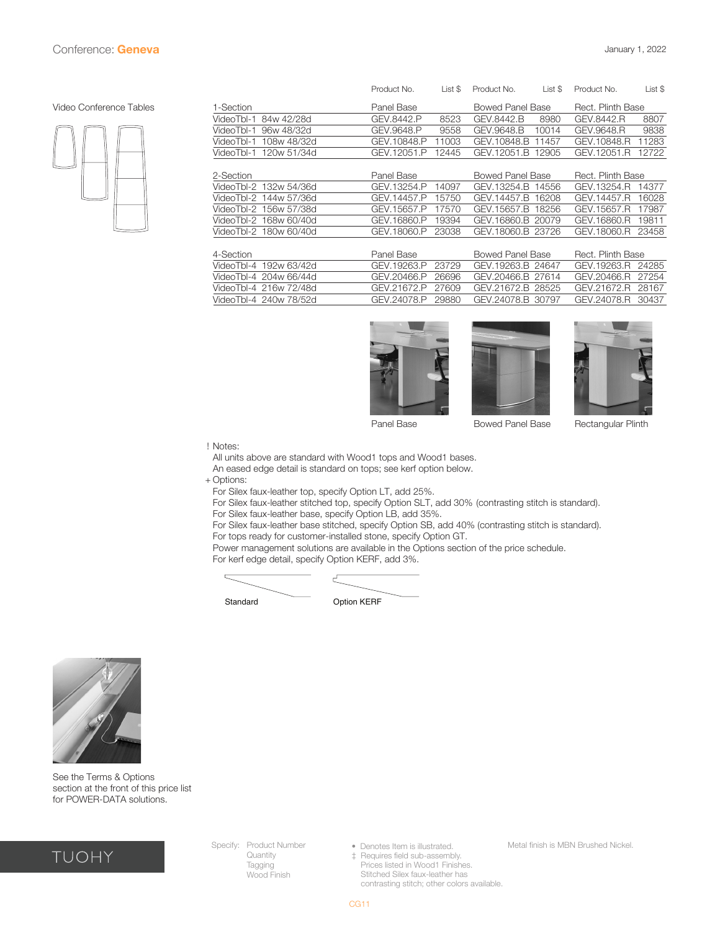#### <span id="page-10-0"></span>Video Conference Tables



| Product No. | List \$ | Product No.      | List \$ | Product No.                                                                                                                                                                  | List \$                                |
|-------------|---------|------------------|---------|------------------------------------------------------------------------------------------------------------------------------------------------------------------------------|----------------------------------------|
| Panel Base  |         | Bowed Panel Base |         | Rect. Plinth Base                                                                                                                                                            |                                        |
| GEV.8442.P  | 8523    | GEV.8442.B       | 8980    | GEV.8442.R                                                                                                                                                                   | 8807                                   |
| GEV.9648.P  | 9558    | GEV.9648.B       | 10014   | GEV.9648.R                                                                                                                                                                   | 9838                                   |
| GEV.10848.P | 11003   | GEV.10848.B      | 11457   | GEV.10848.R                                                                                                                                                                  | 11283                                  |
| GEV.12051.P | 12445   | GEV.12051.B      | 12905   | GEV.12051.R                                                                                                                                                                  | 12722                                  |
|             |         |                  |         |                                                                                                                                                                              |                                        |
| Panel Base  |         |                  |         |                                                                                                                                                                              |                                        |
| GEV.13254.P | 14097   |                  |         | GEV.13254.R                                                                                                                                                                  | 14377                                  |
| GEV.14457.P | 15750   |                  | 16208   | GEV.14457.R                                                                                                                                                                  | 16028                                  |
| GEV.15657.P | 17570   | GEV.15657.B      | 18256   | GEV.15657.R                                                                                                                                                                  | 17987                                  |
| GEV.16860.P | 19394   |                  |         | GEV.16860.R                                                                                                                                                                  | 19811                                  |
| GEV.18060.P | 23038   |                  |         | GEV.18060.R                                                                                                                                                                  | 23458                                  |
|             |         |                  |         |                                                                                                                                                                              |                                        |
| Panel Base  |         |                  |         |                                                                                                                                                                              |                                        |
| GEV.19263.P | 23729   |                  |         | GEV.19263.R                                                                                                                                                                  | 24285                                  |
| GEV.20466.P | 26696   |                  | 27614   | GEV.20466.R                                                                                                                                                                  | 27254                                  |
| GEV.21672.P | 27609   | GEV.21672.B      | 28525   | GEV.21672.R                                                                                                                                                                  | 28167                                  |
| GEV.24078.P | 29880   |                  | 30797   | GEV.24078.R                                                                                                                                                                  | 30437                                  |
|             |         |                  |         | Bowed Panel Base<br>GEV.13254.B 14556<br>GEV.14457.B<br>GEV.16860.B 20079<br>GEV.18060.B 23726<br><b>Bowed Panel Base</b><br>GEV.19263.B 24647<br>GEV.20466.B<br>GEV.24078.B | Rect. Plinth Base<br>Rect. Plinth Base |







Panel Base **Bowed Panel Base** Rectangular Plinth

! Notes:

All units above are standard with Wood1 tops and Wood1 bases.

An eased edge detail is standard on tops; see kerf option below.

+ Options:

For Silex faux-leather top, specify Option LT, add 25%.

For Silex faux-leather stitched top, specify Option SLT, add 30% (contrasting stitch is standard). For Silex faux-leather base, specify Option LB, add 35%.

For Silex faux-leather base stitched, specify Option SB, add 40% (contrasting stitch is standard). For tops ready for customer-installed stone, specify Option GT.

Power management solutions are available in the Options section of the price schedule.

For kerf edge detail, specify Option KERF, add 3%.





See the Terms & Options section at the front of this price list for POWER-DATA solutions.



Specify: Product Number Quantity Tagging Wood Finish

• Denotes Item is illustrated. ‡ Requires field sub-assembly. Prices listed in Wood1 Finishes.

 Stitched Silex faux-leather has contrasting stitch; other colors available.